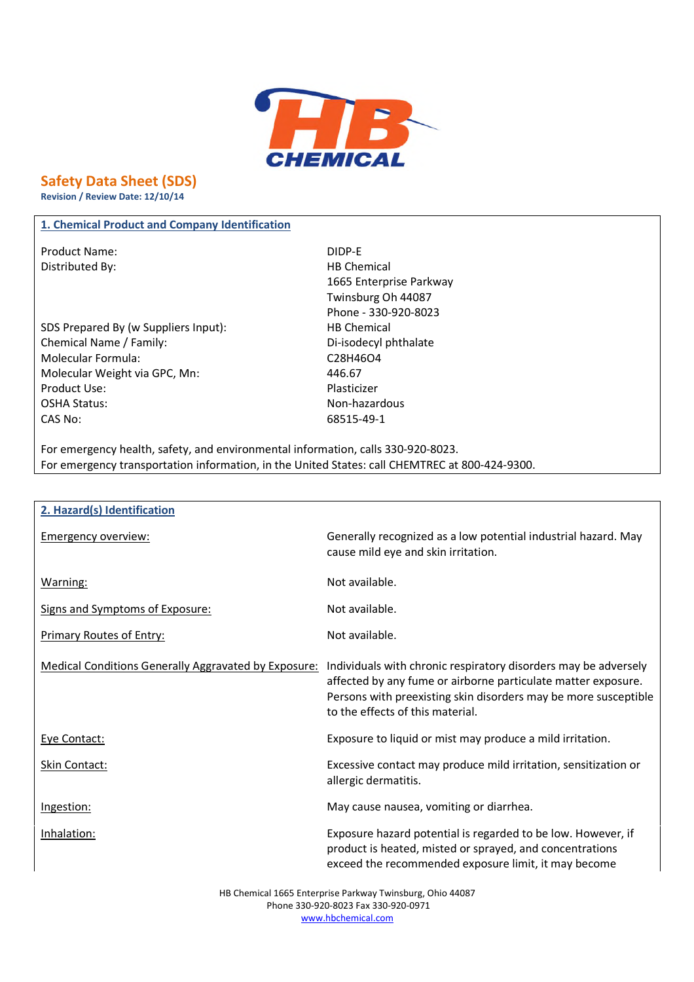

# **Safety Data Sheet (SDS)**

**Revision / Review Date: 12/10/14**

### **1. Chemical Product and Company Identification**

Product Name: Name: Name: 2008 12:00 Product Name: 2008 2012 12:00 PM 2012 2013 2014 2016 2017 2018 2019 2019 2014 2016 2017 2018 2019 2017 2018 2017 2018 2019 2017 2018 2019 2017 2018 2019 2017 2017 2018 2019 2019 2017 20 Distributed By: Notice and Separate Separate Separate Separate Separate Separate Separate Separate Separate Separate Separate Separate Separate Separate Separate Separate Separate Separate Separate Separate Separate Separa

SDS Prepared By (w Suppliers Input): HB Chemical Chemical Name / Family: Di-isodecyl phthalate Molecular Formula: C28H46O4 Molecular Weight via GPC, Mn: 446.67 Product Use: Notice and American product Use: OSHA Status: Non-hazardous CAS No: 68515-49-1

1665 Enterprise Parkway Twinsburg Oh 44087 Phone - 330-920-8023

For emergency health, safety, and environmental information, calls 330-920-8023. For emergency transportation information, in the United States: call CHEMTREC at 800-424-9300.

| 2. Hazard(s) Identification                                 |                                                                                                                                                                                                                                         |
|-------------------------------------------------------------|-----------------------------------------------------------------------------------------------------------------------------------------------------------------------------------------------------------------------------------------|
| <b>Emergency overview:</b>                                  | Generally recognized as a low potential industrial hazard. May<br>cause mild eye and skin irritation.                                                                                                                                   |
| Warning:                                                    | Not available.                                                                                                                                                                                                                          |
| Signs and Symptoms of Exposure:                             | Not available.                                                                                                                                                                                                                          |
| <b>Primary Routes of Entry:</b>                             | Not available.                                                                                                                                                                                                                          |
| <b>Medical Conditions Generally Aggravated by Exposure:</b> | Individuals with chronic respiratory disorders may be adversely<br>affected by any fume or airborne particulate matter exposure.<br>Persons with preexisting skin disorders may be more susceptible<br>to the effects of this material. |
| Eye Contact:                                                | Exposure to liquid or mist may produce a mild irritation.                                                                                                                                                                               |
| Skin Contact:                                               | Excessive contact may produce mild irritation, sensitization or<br>allergic dermatitis.                                                                                                                                                 |
| Ingestion:                                                  | May cause nausea, vomiting or diarrhea.                                                                                                                                                                                                 |
| Inhalation:                                                 | Exposure hazard potential is regarded to be low. However, if<br>product is heated, misted or sprayed, and concentrations<br>exceed the recommended exposure limit, it may become                                                        |

HB Chemical 1665 Enterprise Parkway Twinsburg, Ohio 44087 Phone 330-920-8023 Fax 330-920-0971 www.hbchemical.com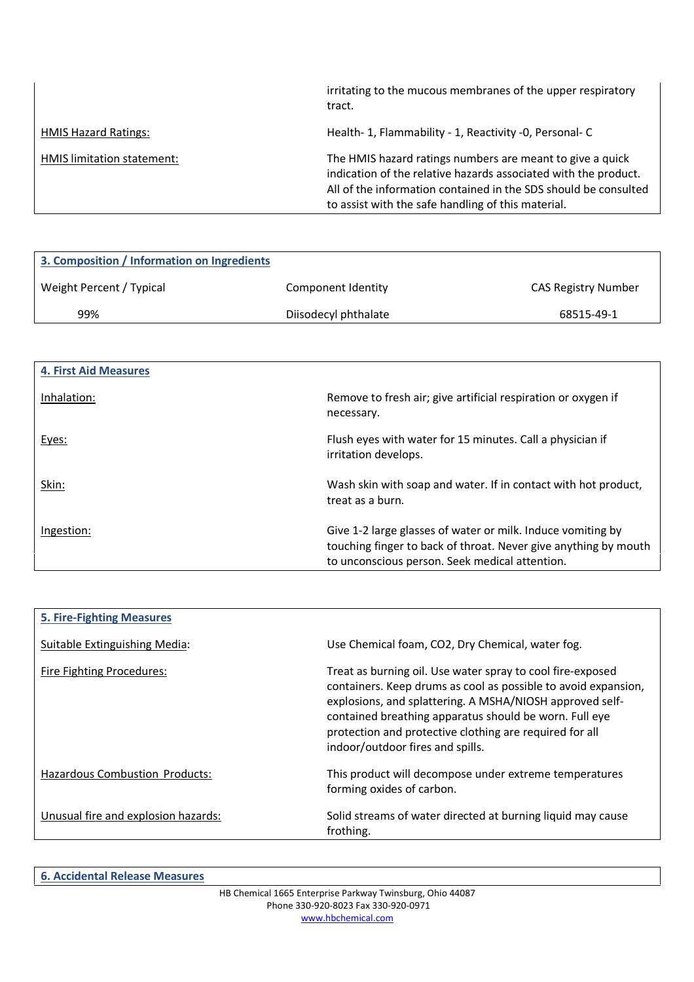|                             | irritating to the mucous membranes of the upper respiratory<br>tract.                                                                                                                                                                                 |
|-----------------------------|-------------------------------------------------------------------------------------------------------------------------------------------------------------------------------------------------------------------------------------------------------|
| <b>HMIS Hazard Ratings:</b> | Health- 1, Flammability - 1, Reactivity -0, Personal- C                                                                                                                                                                                               |
| HMIS limitation statement:  | The HMIS hazard ratings numbers are meant to give a quick<br>indication of the relative hazards associated with the product.<br>All of the information contained in the SDS should be consulted<br>to assist with the safe handling of this material. |

| 3. Composition / Information on Ingredients |                      |                            |
|---------------------------------------------|----------------------|----------------------------|
| Weight Percent / Typical                    | Component Identity   | <b>CAS Registry Number</b> |
| 99%                                         | Diisodecyl phthalate | 68515-49-1                 |

| <b>4. First Aid Measures</b> |                                                                                                                                                                                  |
|------------------------------|----------------------------------------------------------------------------------------------------------------------------------------------------------------------------------|
| Inhalation:                  | Remove to fresh air; give artificial respiration or oxygen if<br>necessary.                                                                                                      |
| Eyes:                        | Flush eyes with water for 15 minutes. Call a physician if<br>irritation develops.                                                                                                |
| Skin:                        | Wash skin with soap and water. If in contact with hot product,<br>treat as a burn.                                                                                               |
| Ingestion:                   | Give 1-2 large glasses of water or milk. Induce vomiting by<br>touching finger to back of throat. Never give anything by mouth<br>to unconscious person. Seek medical attention. |

| <b>5. Fire-Fighting Measures</b>    |                                                                                                                                                                                                                                                                                                                                                   |
|-------------------------------------|---------------------------------------------------------------------------------------------------------------------------------------------------------------------------------------------------------------------------------------------------------------------------------------------------------------------------------------------------|
| Suitable Extinguishing Media:       | Use Chemical foam, CO2, Dry Chemical, water fog.                                                                                                                                                                                                                                                                                                  |
| Fire Fighting Procedures:           | Treat as burning oil. Use water spray to cool fire-exposed<br>containers. Keep drums as cool as possible to avoid expansion,<br>explosions, and splattering. A MSHA/NIOSH approved self-<br>contained breathing apparatus should be worn. Full eye<br>protection and protective clothing are required for all<br>indoor/outdoor fires and spills. |
| Hazardous Combustion Products:      | This product will decompose under extreme temperatures<br>forming oxides of carbon.                                                                                                                                                                                                                                                               |
| Unusual fire and explosion hazards: | Solid streams of water directed at burning liquid may cause<br>frothing.                                                                                                                                                                                                                                                                          |

**6. Accidental Release Measures**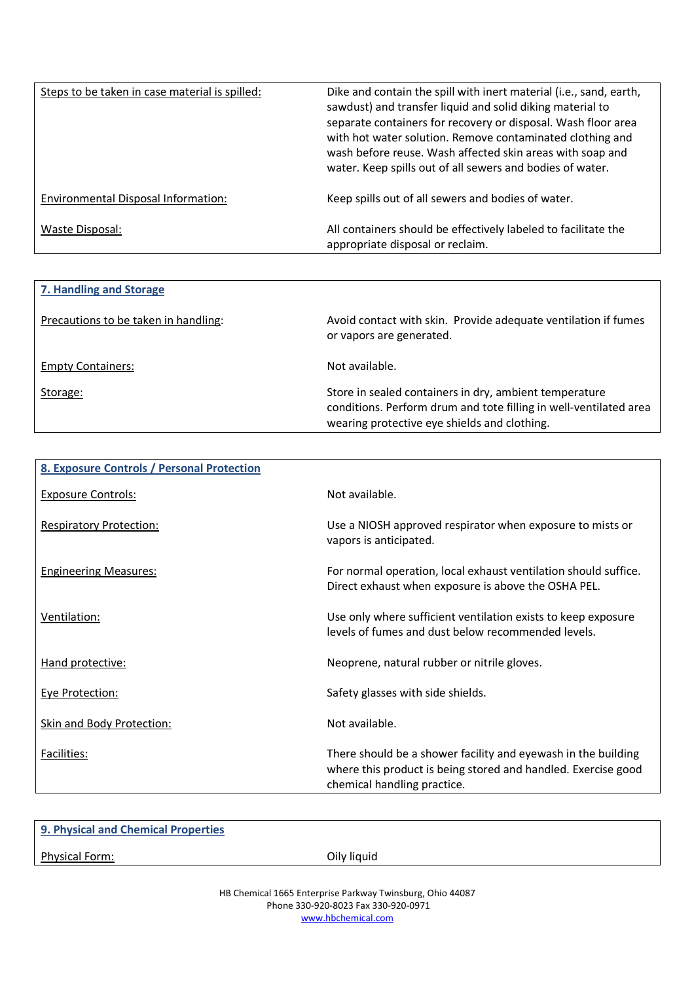| Steps to be taken in case material is spilled: | Dike and contain the spill with inert material (i.e., sand, earth,<br>sawdust) and transfer liquid and solid diking material to<br>separate containers for recovery or disposal. Wash floor area<br>with hot water solution. Remove contaminated clothing and<br>wash before reuse. Wash affected skin areas with soap and<br>water. Keep spills out of all sewers and bodies of water. |
|------------------------------------------------|-----------------------------------------------------------------------------------------------------------------------------------------------------------------------------------------------------------------------------------------------------------------------------------------------------------------------------------------------------------------------------------------|
| Environmental Disposal Information:            | Keep spills out of all sewers and bodies of water.                                                                                                                                                                                                                                                                                                                                      |
| Waste Disposal:                                | All containers should be effectively labeled to facilitate the<br>appropriate disposal or reclaim.                                                                                                                                                                                                                                                                                      |

| 7. Handling and Storage              |                                                                                                                                                                             |
|--------------------------------------|-----------------------------------------------------------------------------------------------------------------------------------------------------------------------------|
| Precautions to be taken in handling: | Avoid contact with skin. Provide adequate ventilation if fumes<br>or vapors are generated.                                                                                  |
| <b>Empty Containers:</b>             | Not available.                                                                                                                                                              |
| Storage:                             | Store in sealed containers in dry, ambient temperature<br>conditions. Perform drum and tote filling in well-ventilated area<br>wearing protective eye shields and clothing. |

| 8. Exposure Controls / Personal Protection |                                                                                                                                                               |
|--------------------------------------------|---------------------------------------------------------------------------------------------------------------------------------------------------------------|
| <b>Exposure Controls:</b>                  | Not available.                                                                                                                                                |
| <b>Respiratory Protection:</b>             | Use a NIOSH approved respirator when exposure to mists or<br>vapors is anticipated.                                                                           |
| <b>Engineering Measures:</b>               | For normal operation, local exhaust ventilation should suffice.<br>Direct exhaust when exposure is above the OSHA PEL.                                        |
| Ventilation:                               | Use only where sufficient ventilation exists to keep exposure<br>levels of fumes and dust below recommended levels.                                           |
| Hand protective:                           | Neoprene, natural rubber or nitrile gloves.                                                                                                                   |
| <b>Eye Protection:</b>                     | Safety glasses with side shields.                                                                                                                             |
| Skin and Body Protection:                  | Not available.                                                                                                                                                |
| Facilities:                                | There should be a shower facility and eyewash in the building<br>where this product is being stored and handled. Exercise good<br>chemical handling practice. |

| 9. Physical and Chemical Properties |             |
|-------------------------------------|-------------|
| Physical Form:                      | Oily liquid |
|                                     |             |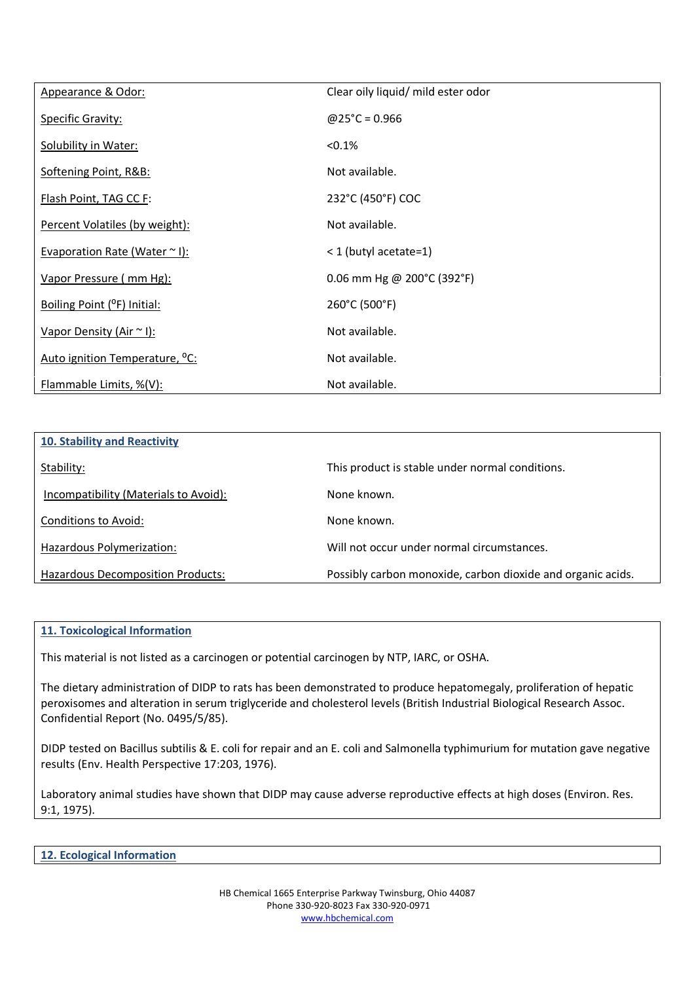| Appearance & Odor:                         | Clear oily liquid/ mild ester odor |
|--------------------------------------------|------------------------------------|
| <b>Specific Gravity:</b>                   | $@25^{\circ}C = 0.966$             |
| Solubility in Water:                       | $< 0.1\%$                          |
| Softening Point, R&B:                      | Not available.                     |
| Flash Point, TAG CC F:                     | 232°C (450°F) COC                  |
| Percent Volatiles (by weight):             | Not available.                     |
| Evaporation Rate (Water $\sim$ I):         | < 1 (butyl acetate=1)              |
| Vapor Pressure (mm Hg):                    | 0.06 mm Hg @ 200°C (392°F)         |
| Boiling Point (°F) Initial:                | 260°C (500°F)                      |
| Vapor Density (Air ~ I):                   | Not available.                     |
| Auto ignition Temperature, <sup>o</sup> C: | Not available.                     |
| Flammable Limits, %(V):                    | Not available.                     |

| 10. Stability and Reactivity          |                                                             |
|---------------------------------------|-------------------------------------------------------------|
| Stability:                            | This product is stable under normal conditions.             |
| Incompatibility (Materials to Avoid): | None known.                                                 |
| Conditions to Avoid:                  | None known.                                                 |
| Hazardous Polymerization:             | Will not occur under normal circumstances.                  |
| Hazardous Decomposition Products:     | Possibly carbon monoxide, carbon dioxide and organic acids. |

### **11. Toxicological Information**

This material is not listed as a carcinogen or potential carcinogen by NTP, IARC, or OSHA.

The dietary administration of DIDP to rats has been demonstrated to produce hepatomegaly, proliferation of hepatic peroxisomes and alteration in serum triglyceride and cholesterol levels (British Industrial Biological Research Assoc. Confidential Report (No. 0495/5/85).

DIDP tested on Bacillus subtilis & E. coli for repair and an E. coli and Salmonella typhimurium for mutation gave negative results (Env. Health Perspective 17:203, 1976).

Laboratory animal studies have shown that DIDP may cause adverse reproductive effects at high doses (Environ. Res. 9:1, 1975).

**12. Ecological Information**